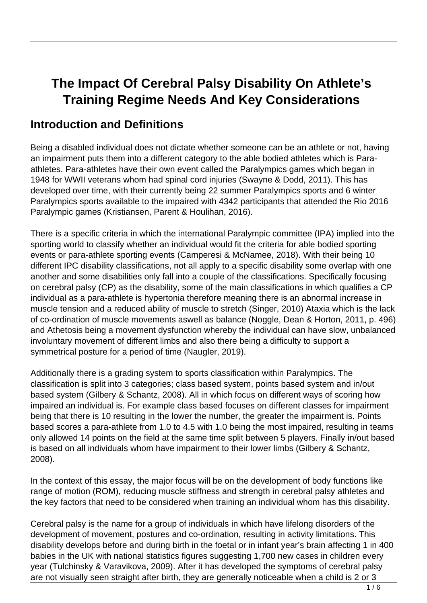# **The Impact Of Cerebral Palsy Disability On Athlete's Training Regime Needs And Key Considerations**

#### **Introduction and Definitions**

Being a disabled individual does not dictate whether someone can be an athlete or not, having an impairment puts them into a different category to the able bodied athletes which is Paraathletes. Para-athletes have their own event called the Paralympics games which began in 1948 for WWII veterans whom had spinal cord injuries (Swayne & Dodd, 2011). This has developed over time, with their currently being 22 summer Paralympics sports and 6 winter Paralympics sports available to the impaired with 4342 participants that attended the Rio 2016 Paralympic games (Kristiansen, Parent & Houlihan, 2016).

There is a specific criteria in which the international Paralympic committee (IPA) implied into the sporting world to classify whether an individual would fit the criteria for able bodied sporting events or para-athlete sporting events (Camperesi & McNamee, 2018). With their being 10 different IPC disability classifications, not all apply to a specific disability some overlap with one another and some disabilities only fall into a couple of the classifications. Specifically focusing on cerebral palsy (CP) as the disability, some of the main classifications in which qualifies a CP individual as a para-athlete is hypertonia therefore meaning there is an abnormal increase in muscle tension and a reduced ability of muscle to stretch (Singer, 2010) Ataxia which is the lack of co-ordination of muscle movements aswell as balance (Noggle, Dean & Horton, 2011, p. 496) and Athetosis being a movement dysfunction whereby the individual can have slow, unbalanced involuntary movement of different limbs and also there being a difficulty to support a symmetrical posture for a period of time (Naugler, 2019).

Additionally there is a grading system to sports classification within Paralympics. The classification is split into 3 categories; class based system, points based system and in/out based system (Gilbery & Schantz, 2008). All in which focus on different ways of scoring how impaired an individual is. For example class based focuses on different classes for impairment being that there is 10 resulting in the lower the number, the greater the impairment is. Points based scores a para-athlete from 1.0 to 4.5 with 1.0 being the most impaired, resulting in teams only allowed 14 points on the field at the same time split between 5 players. Finally in/out based is based on all individuals whom have impairment to their lower limbs (Gilbery & Schantz, 2008).

In the context of this essay, the major focus will be on the development of body functions like range of motion (ROM), reducing muscle stiffness and strength in cerebral palsy athletes and the key factors that need to be considered when training an individual whom has this disability.

Cerebral palsy is the name for a group of individuals in which have lifelong disorders of the development of movement, postures and co-ordination, resulting in activity limitations. This disability develops before and during birth in the foetal or in infant year's brain affecting 1 in 400 babies in the UK with national statistics figures suggesting 1,700 new cases in children every year (Tulchinsky & Varavikova, 2009). After it has developed the symptoms of cerebral palsy are not visually seen straight after birth, they are generally noticeable when a child is 2 or 3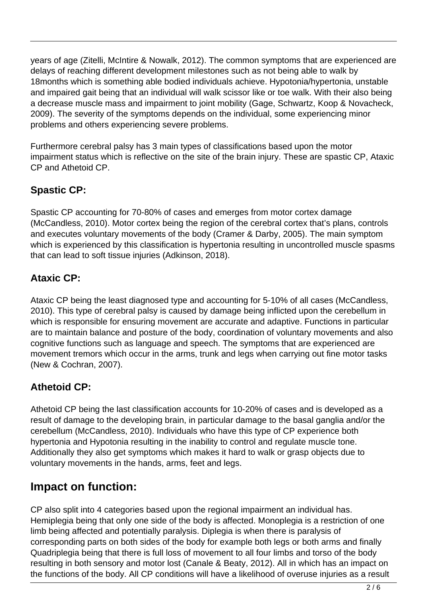years of age (Zitelli, McIntire & Nowalk, 2012). The common symptoms that are experienced are delays of reaching different development milestones such as not being able to walk by 18months which is something able bodied individuals achieve. Hypotonia/hypertonia, unstable and impaired gait being that an individual will walk scissor like or toe walk. With their also being a decrease muscle mass and impairment to joint mobility (Gage, Schwartz, Koop & Novacheck, 2009). The severity of the symptoms depends on the individual, some experiencing minor problems and others experiencing severe problems.

Furthermore cerebral palsy has 3 main types of classifications based upon the motor impairment status which is reflective on the site of the brain injury. These are spastic CP, Ataxic CP and Athetoid CP.

#### **Spastic CP:**

Spastic CP accounting for 70-80% of cases and emerges from motor cortex damage (McCandless, 2010). Motor cortex being the region of the cerebral cortex that's plans, controls and executes voluntary movements of the body (Cramer & Darby, 2005). The main symptom which is experienced by this classification is hypertonia resulting in uncontrolled muscle spasms that can lead to soft tissue injuries (Adkinson, 2018).

#### **Ataxic CP:**

Ataxic CP being the least diagnosed type and accounting for 5-10% of all cases (McCandless, 2010). This type of cerebral palsy is caused by damage being inflicted upon the cerebellum in which is responsible for ensuring movement are accurate and adaptive. Functions in particular are to maintain balance and posture of the body, coordination of voluntary movements and also cognitive functions such as language and speech. The symptoms that are experienced are movement tremors which occur in the arms, trunk and legs when carrying out fine motor tasks (New & Cochran, 2007).

#### **Athetoid CP:**

Athetoid CP being the last classification accounts for 10-20% of cases and is developed as a result of damage to the developing brain, in particular damage to the basal ganglia and/or the cerebellum (McCandless, 2010). Individuals who have this type of CP experience both hypertonia and Hypotonia resulting in the inability to control and regulate muscle tone. Additionally they also get symptoms which makes it hard to walk or grasp objects due to voluntary movements in the hands, arms, feet and legs.

#### **Impact on function:**

CP also split into 4 categories based upon the regional impairment an individual has. Hemiplegia being that only one side of the body is affected. Monoplegia is a restriction of one limb being affected and potentially paralysis. Diplegia is when there is paralysis of corresponding parts on both sides of the body for example both legs or both arms and finally Quadriplegia being that there is full loss of movement to all four limbs and torso of the body resulting in both sensory and motor lost (Canale & Beaty, 2012). All in which has an impact on the functions of the body. All CP conditions will have a likelihood of overuse injuries as a result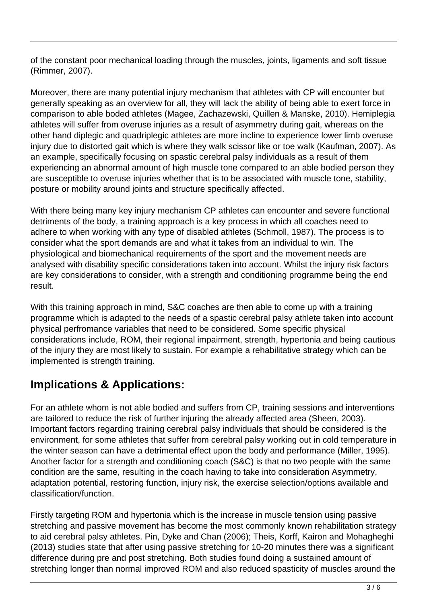of the constant poor mechanical loading through the muscles, joints, ligaments and soft tissue (Rimmer, 2007).

Moreover, there are many potential injury mechanism that athletes with CP will encounter but generally speaking as an overview for all, they will lack the ability of being able to exert force in comparison to able boded athletes (Magee, Zachazewski, Quillen & Manske, 2010). Hemiplegia athletes will suffer from overuse injuries as a result of asymmetry during gait, whereas on the other hand diplegic and quadriplegic athletes are more incline to experience lower limb overuse injury due to distorted gait which is where they walk scissor like or toe walk (Kaufman, 2007). As an example, specifically focusing on spastic cerebral palsy individuals as a result of them experiencing an abnormal amount of high muscle tone compared to an able bodied person they are susceptible to overuse injuries whether that is to be associated with muscle tone, stability, posture or mobility around joints and structure specifically affected.

With there being many key injury mechanism CP athletes can encounter and severe functional detriments of the body, a training approach is a key process in which all coaches need to adhere to when working with any type of disabled athletes (Schmoll, 1987). The process is to consider what the sport demands are and what it takes from an individual to win. The physiological and biomechanical requirements of the sport and the movement needs are analysed with disability specific considerations taken into account. Whilst the injury risk factors are key considerations to consider, with a strength and conditioning programme being the end result.

With this training approach in mind, S&C coaches are then able to come up with a training programme which is adapted to the needs of a spastic cerebral palsy athlete taken into account physical perfromance variables that need to be considered. Some specific physical considerations include, ROM, their regional impairment, strength, hypertonia and being cautious of the injury they are most likely to sustain. For example a rehabilitative strategy which can be implemented is strength training.

## **Implications & Applications:**

For an athlete whom is not able bodied and suffers from CP, training sessions and interventions are tailored to reduce the risk of further injuring the already affected area (Sheen, 2003). Important factors regarding training cerebral palsy individuals that should be considered is the environment, for some athletes that suffer from cerebral palsy working out in cold temperature in the winter season can have a detrimental effect upon the body and performance (Miller, 1995). Another factor for a strength and conditioning coach (S&C) is that no two people with the same condition are the same, resulting in the coach having to take into consideration Asymmetry, adaptation potential, restoring function, injury risk, the exercise selection/options available and classification/function.

Firstly targeting ROM and hypertonia which is the increase in muscle tension using passive stretching and passive movement has become the most commonly known rehabilitation strategy to aid cerebral palsy athletes. Pin, Dyke and Chan (2006); Theis, Korff, Kairon and Mohagheghi (2013) studies state that after using passive stretching for 10-20 minutes there was a significant difference during pre and post stretching. Both studies found doing a sustained amount of stretching longer than normal improved ROM and also reduced spasticity of muscles around the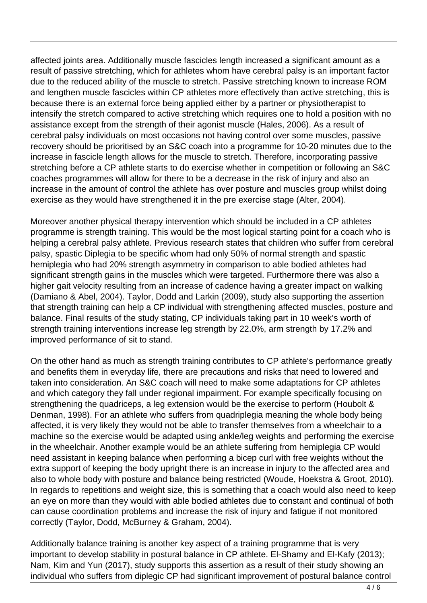affected joints area. Additionally muscle fascicles length increased a significant amount as a result of passive stretching, which for athletes whom have cerebral palsy is an important factor due to the reduced ability of the muscle to stretch. Passive stretching known to increase ROM and lengthen muscle fascicles within CP athletes more effectively than active stretching, this is because there is an external force being applied either by a partner or physiotherapist to intensify the stretch compared to active stretching which requires one to hold a position with no assistance except from the strength of their agonist muscle (Hales, 2006). As a result of cerebral palsy individuals on most occasions not having control over some muscles, passive recovery should be prioritised by an S&C coach into a programme for 10-20 minutes due to the increase in fascicle length allows for the muscle to stretch. Therefore, incorporating passive stretching before a CP athlete starts to do exercise whether in competition or following an S&C coaches programmes will allow for there to be a decrease in the risk of injury and also an increase in the amount of control the athlete has over posture and muscles group whilst doing exercise as they would have strengthened it in the pre exercise stage (Alter, 2004).

Moreover another physical therapy intervention which should be included in a CP athletes programme is strength training. This would be the most logical starting point for a coach who is helping a cerebral palsy athlete. Previous research states that children who suffer from cerebral palsy, spastic Diplegia to be specific whom had only 50% of normal strength and spastic hemiplegia who had 20% strength asymmetry in comparison to able bodied athletes had significant strength gains in the muscles which were targeted. Furthermore there was also a higher gait velocity resulting from an increase of cadence having a greater impact on walking (Damiano & Abel, 2004). Taylor, Dodd and Larkin (2009), study also supporting the assertion that strength training can help a CP individual with strengthening affected muscles, posture and balance. Final results of the study stating, CP individuals taking part in 10 week's worth of strength training interventions increase leg strength by 22.0%, arm strength by 17.2% and improved performance of sit to stand.

On the other hand as much as strength training contributes to CP athlete's performance greatly and benefits them in everyday life, there are precautions and risks that need to lowered and taken into consideration. An S&C coach will need to make some adaptations for CP athletes and which category they fall under regional impairment. For example specifically focusing on strengthening the quadriceps, a leg extension would be the exercise to perform (Houbolt & Denman, 1998). For an athlete who suffers from quadriplegia meaning the whole body being affected, it is very likely they would not be able to transfer themselves from a wheelchair to a machine so the exercise would be adapted using ankle/leg weights and performing the exercise in the wheelchair. Another example would be an athlete suffering from hemiplegia CP would need assistant in keeping balance when performing a bicep curl with free weights without the extra support of keeping the body upright there is an increase in injury to the affected area and also to whole body with posture and balance being restricted (Woude, Hoekstra & Groot, 2010). In regards to repetitions and weight size, this is something that a coach would also need to keep an eye on more than they would with able bodied athletes due to constant and continual of both can cause coordination problems and increase the risk of injury and fatigue if not monitored correctly (Taylor, Dodd, McBurney & Graham, 2004).

Additionally balance training is another key aspect of a training programme that is very important to develop stability in postural balance in CP athlete. El-Shamy and El-Kafy (2013); Nam, Kim and Yun (2017), study supports this assertion as a result of their study showing an individual who suffers from diplegic CP had significant improvement of postural balance control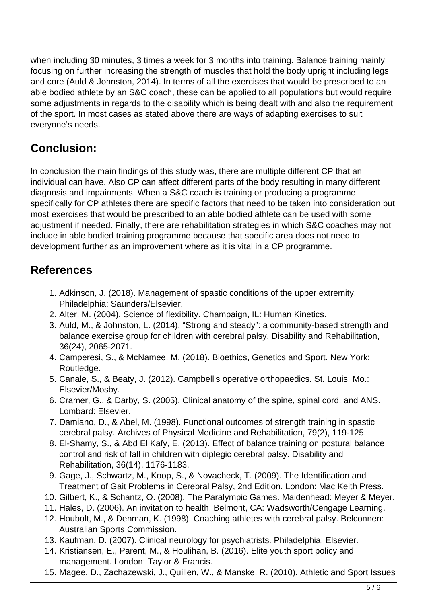when including 30 minutes, 3 times a week for 3 months into training. Balance training mainly focusing on further increasing the strength of muscles that hold the body upright including legs and core (Auld & Johnston, 2014). In terms of all the exercises that would be prescribed to an able bodied athlete by an S&C coach, these can be applied to all populations but would require some adjustments in regards to the disability which is being dealt with and also the requirement of the sport. In most cases as stated above there are ways of adapting exercises to suit everyone's needs.

# **Conclusion:**

In conclusion the main findings of this study was, there are multiple different CP that an individual can have. Also CP can affect different parts of the body resulting in many different diagnosis and impairments. When a S&C coach is training or producing a programme specifically for CP athletes there are specific factors that need to be taken into consideration but most exercises that would be prescribed to an able bodied athlete can be used with some adjustment if needed. Finally, there are rehabilitation strategies in which S&C coaches may not include in able bodied training programme because that specific area does not need to development further as an improvement where as it is vital in a CP programme.

## **References**

- 1. Adkinson, J. (2018). Management of spastic conditions of the upper extremity. Philadelphia: Saunders/Elsevier.
- 2. Alter, M. (2004). Science of flexibility. Champaign, IL: Human Kinetics.
- 3. Auld, M., & Johnston, L. (2014). "Strong and steady": a community-based strength and balance exercise group for children with cerebral palsy. Disability and Rehabilitation, 36(24), 2065-2071.
- 4. Camperesi, S., & McNamee, M. (2018). Bioethics, Genetics and Sport. New York: Routledge.
- 5. Canale, S., & Beaty, J. (2012). Campbell's operative orthopaedics. St. Louis, Mo.: Elsevier/Mosby.
- 6. Cramer, G., & Darby, S. (2005). Clinical anatomy of the spine, spinal cord, and ANS. Lombard: Elsevier.
- 7. Damiano, D., & Abel, M. (1998). Functional outcomes of strength training in spastic cerebral palsy. Archives of Physical Medicine and Rehabilitation, 79(2), 119-125.
- 8. El-Shamy, S., & Abd El Kafy, E. (2013). Effect of balance training on postural balance control and risk of fall in children with diplegic cerebral palsy. Disability and Rehabilitation, 36(14), 1176-1183.
- 9. Gage, J., Schwartz, M., Koop, S., & Novacheck, T. (2009). The Identification and Treatment of Gait Problems in Cerebral Palsy, 2nd Edition. London: Mac Keith Press.
- 10. Gilbert, K., & Schantz, O. (2008). The Paralympic Games. Maidenhead: Meyer & Meyer.
- 11. Hales, D. (2006). An invitation to health. Belmont, CA: Wadsworth/Cengage Learning.
- 12. Houbolt, M., & Denman, K. (1998). Coaching athletes with cerebral palsy. Belconnen: Australian Sports Commission.
- 13. Kaufman, D. (2007). Clinical neurology for psychiatrists. Philadelphia: Elsevier.
- 14. Kristiansen, E., Parent, M., & Houlihan, B. (2016). Elite youth sport policy and management. London: Taylor & Francis.
- 15. Magee, D., Zachazewski, J., Quillen, W., & Manske, R. (2010). Athletic and Sport Issues